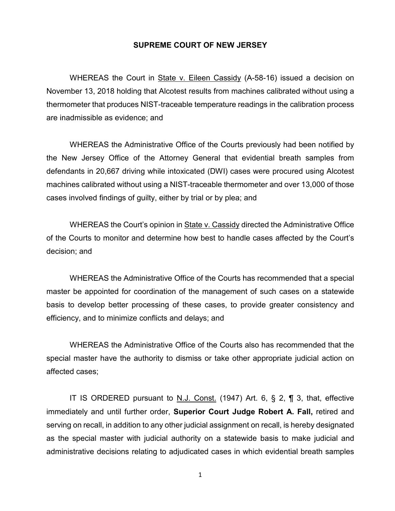## **SUPREME COURT OF NEW JERSEY**

WHEREAS the Court in State v. Eileen Cassidy (A-58-16) issued a decision on November 13, 2018 holding that Alcotest results from machines calibrated without using a thermometer that produces NIST-traceable temperature readings in the calibration process are inadmissible as evidence; and

WHEREAS the Administrative Office of the Courts previously had been notified by the New Jersey Office of the Attorney General that evidential breath samples from defendants in 20,667 driving while intoxicated (DWI) cases were procured using Alcotest machines calibrated without using a NIST-traceable thermometer and over 13,000 of those cases involved findings of guilty, either by trial or by plea; and

WHEREAS the Court's opinion in State v. Cassidy directed the Administrative Office of the Courts to monitor and determine how best to handle cases affected by the Court's decision; and

WHEREAS the Administrative Office of the Courts has recommended that a special master be appointed for coordination of the management of such cases on a statewide basis to develop better processing of these cases, to provide greater consistency and efficiency, and to minimize conflicts and delays; and

WHEREAS the Administrative Office of the Courts also has recommended that the special master have the authority to dismiss or take other appropriate judicial action on affected cases;

IT IS ORDERED pursuant to N.J. Const. (1947) Art. 6, § 2, ¶ 3, that, effective immediately and until further order, **Superior Court Judge Robert A. Fall,** retired and serving on recall, in addition to any other judicial assignment on recall, is hereby designated as the special master with judicial authority on a statewide basis to make judicial and administrative decisions relating to adjudicated cases in which evidential breath samples